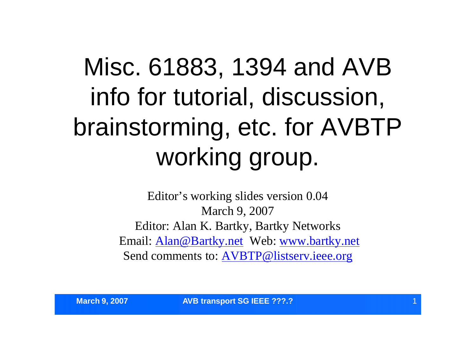# Misc. 61883, 1394 and AVB info for tutorial, discussion, brainstorming, etc. for AVBTP working group.

Editor's working slides version 0.04 March 9, 2007 Editor: Alan K. Bartky, Bartky Networks Email: Alan@Bartky.net Web: www.bartky.net Send comments to: AVBTP@listserv.ieee.org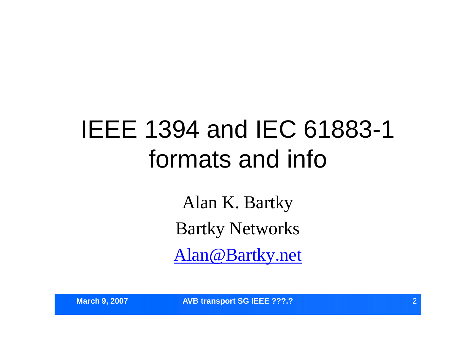# IEEE 1394 and IEC 61883-1 formats and info

Alan K. Bartky Bartky Networks Alan@Bartky.net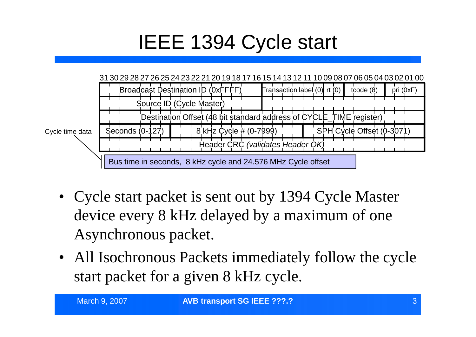## IEEE 1394 Cycle start



- Cycle start packet is sent out by 1394 Cycle Master device every 8 kHz delayed by a maximum of one Asynchronous packet.
- All Isochronous Packets immediately follow the cycle start packet for a given 8 kHz cycle.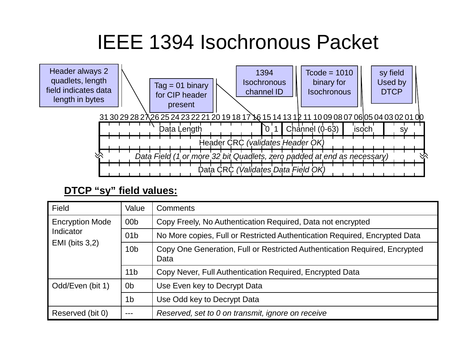### IEEE 1394 Isochronous Packet



#### **DTCP "sy" field values:**

| Field                  | Value           | <b>Comments</b>                                                                    |
|------------------------|-----------------|------------------------------------------------------------------------------------|
| <b>Encryption Mode</b> | 00 <sub>b</sub> | Copy Freely, No Authentication Required, Data not encrypted                        |
| Indicator              | 01 <sub>b</sub> | No More copies, Full or Restricted Authentication Required, Encrypted Data         |
| $EMI$ (bits 3,2)       | 10 <sub>b</sub> | Copy One Generation, Full or Restricted Authentication Required, Encrypted<br>Data |
|                        | 11 <sub>b</sub> | Copy Never, Full Authentication Required, Encrypted Data                           |
| Odd/Even (bit 1)       | 0 <sub>b</sub>  | Use Even key to Decrypt Data                                                       |
|                        | 1 <sub>b</sub>  | Use Odd key to Decrypt Data                                                        |
| Reserved (bit 0)       |                 | Reserved, set to 0 on transmit, ignore on receive                                  |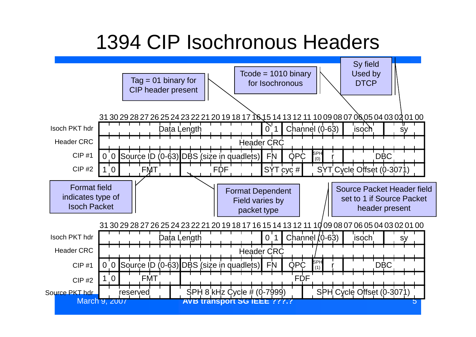### 1394 CIP Isochronous Headers

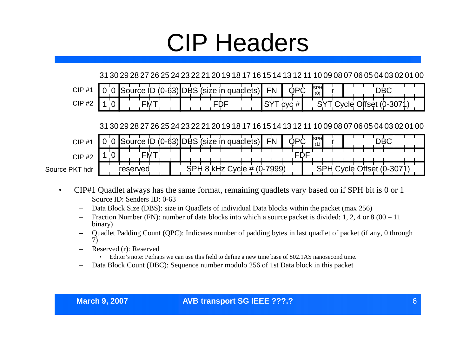# CIP Headers

#### 31 30 29 28 27 26 25 24 23 22 21 20 19 18 17 16 15 14 13 12 11 10 09 08 07 06 05 04 03 02 01 00

| <b>CIP</b><br>- 11 -<br>$^{\rm \pi}$ |   |  |        | $.6^{\circ}$ |  |  |   |    |  | e.<br>- N      | ∼<br>W.  | <b>ISPH</b><br>(0) |  |  |   |  |
|--------------------------------------|---|--|--------|--------------|--|--|---|----|--|----------------|----------|--------------------|--|--|---|--|
| <b>CIP#2</b>                         | ∼ |  | ·IVI . |              |  |  | ັ | יי |  | $\bigcap$<br>ັ | cvc<br>ັ |                    |  |  | ັ |  |

31 30 29 28 27 26 25 24 23 22 21 20 19 18 17 16 15 14 13 12 11 10 09 08 07 06 05 04 03 02 01 00

| $CIP$ #        |  | ource    |     | $(0-63)$ lı. | <b>JDBS</b> | (size in |      |     |      | guadlets) | FN |      | ایپ | ∩n∩ | SPH<br>(11) |  |  |      |      |  |  |
|----------------|--|----------|-----|--------------|-------------|----------|------|-----|------|-----------|----|------|-----|-----|-------------|--|--|------|------|--|--|
| <b>CIP#2</b>   |  |          | FM. |              |             |          |      |     |      |           |    |      |     | ◡   |             |  |  |      |      |  |  |
| Source PKT hdr |  | reserved |     |              |             |          | -181 | $-$ | סוטי |           |    | 7999 |     |     |             |  |  | マロット | טט-ע |  |  |

- CIP#1 Quadlet always has the same format, remaining quadlets vary based on if SPH bit is 0 or 1
	- Source ID: Senders ID: 0-63
	- Data Block Size (DBS): size in Quadlets of individual Data blocks within the packet (max 256)
	- Fraction Number (FN): number of data blocks into which a source packet is divided: 1, 2, 4 or 8 (00 11) binary)
	- Quadlet Padding Count (QPC): Indicates number of padding bytes in last quadlet of packet (if any, 0 through 7)
	- Reserved (r): Reserved
		- Editor's note: Perhaps we can use this field to define a new time base of 802.1AS nanosecond time.
	- Data Block Count (DBC): Sequence number modulo 256 of 1st Data block in this packet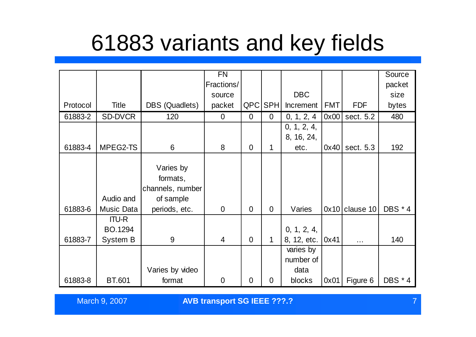## 61883 variants and key fields

|          |                 |                  | <b>FN</b>      |                |                |                  |            |                  | Source         |
|----------|-----------------|------------------|----------------|----------------|----------------|------------------|------------|------------------|----------------|
|          |                 |                  | Fractions/     |                |                |                  |            |                  | packet         |
|          |                 |                  | source         |                |                | <b>DBC</b>       |            |                  | size           |
| Protocol | <b>Title</b>    | DBS (Quadlets)   | packet         | QPC            | <b>SPH</b>     | <b>Increment</b> | <b>FMT</b> | <b>FDF</b>       | bytes          |
| 61883-2  | <b>SD-DVCR</b>  | 120              | $\overline{0}$ | $\overline{0}$ | $\overline{0}$ | 0, 1, 2, 4       | 0x00       | sect. 5.2        | 480            |
|          |                 |                  |                |                |                | 0, 1, 2, 4,      |            |                  |                |
|          |                 |                  |                |                |                | 8, 16, 24,       |            |                  |                |
| 61883-4  | MPEG2-TS        | 6                | 8              | $\overline{0}$ | 1              | etc.             | 0x40       | sect. 5.3        | 192            |
|          |                 |                  |                |                |                |                  |            |                  |                |
|          |                 | Varies by        |                |                |                |                  |            |                  |                |
|          |                 | formats,         |                |                |                |                  |            |                  |                |
|          |                 | channels, number |                |                |                |                  |            |                  |                |
|          | Audio and       | of sample        |                |                |                |                  |            |                  |                |
| 61883-6  | Music Data      | periods, etc.    | $\overline{0}$ | $\Omega$       | $\Omega$       | Varies           |            | $0x10$ clause 10 | <b>DBS</b> * 4 |
|          | <b>ITU-R</b>    |                  |                |                |                |                  |            |                  |                |
|          | BO.1294         |                  |                |                |                | 0, 1, 2, 4,      |            |                  |                |
| 61883-7  | <b>System B</b> | 9                | $\overline{4}$ | $\Omega$       | 1              | 8, 12, etc.      | 0x41       | $\cdots$         | 140            |
|          |                 |                  |                |                |                | varies by        |            |                  |                |
|          |                 |                  |                |                |                | number of        |            |                  |                |
|          |                 | Varies by video  |                |                |                | data             |            |                  |                |
| 61883-8  | <b>BT.601</b>   | format           | $\overline{0}$ | $\overline{0}$ | 0              | blocks           | 0x01       | Figure 6         | <b>DBS * 4</b> |

March 9, 2007 **AVB transport SG IEEE ???.?** 7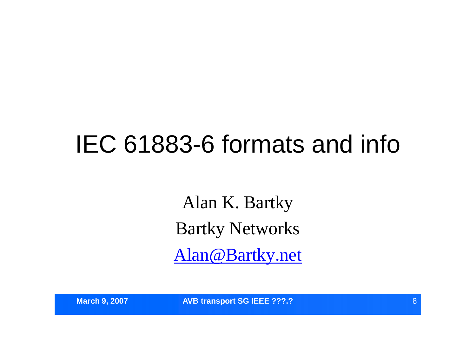# IEC 61883-6 formats and info

Alan K. Bartky Bartky Networks Alan@Bartky.net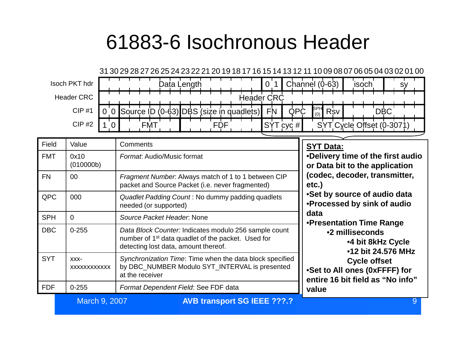### 61883-6 Isochronous Header



| Field      | Value                   | Comments                                                                                                                                                        | <b>SYT Data:</b>                                                                         |
|------------|-------------------------|-----------------------------------------------------------------------------------------------------------------------------------------------------------------|------------------------------------------------------------------------------------------|
| <b>FMT</b> | 0x10<br>(010000b)       | Format: Audio/Music format                                                                                                                                      | •Delivery time of the first audio<br>or Data bit to the application                      |
| <b>FN</b>  | $00\,$                  | Fragment Number. Always match of 1 to 1 between CIP<br>packet and Source Packet (i.e. never fragmented)                                                         | (codec, decoder, transmitter,<br>etc.)                                                   |
| <b>QPC</b> | 000                     | Quadlet Padding Count: No dummy padding quadlets<br>needed (or supported)                                                                                       | •Set by source of audio data<br>•Processed by sink of audio                              |
| <b>SPH</b> | $\Omega$                | Source Packet Header, None                                                                                                                                      | data<br>•Presentation Time Range                                                         |
| <b>DBC</b> | $0 - 255$               | Data Block Counter: Indicates modulo 256 sample count<br>number of 1 <sup>st</sup> data quadlet of the packet. Used for<br>detecting lost data, amount thereof. | •2 milliseconds<br><b>.4 bit 8kHz Cycle</b><br>•12 bit 24.576 MHz                        |
| <b>SYT</b> | $XXX$ -<br>XXXXXXXXXXXX | Synchronization Time: Time when the data block specified<br>by DBC_NUMBER Modulo SYT_INTERVAL is presented<br>at the receiver                                   | <b>Cycle offset</b><br>•Set to All ones (0xFFFF) for<br>entire 16 bit field as "No info" |
| <b>FDF</b> | $0 - 255$               | Format Dependent Field: See FDF data                                                                                                                            | value                                                                                    |

**March 9, 2007 <b>AVB transport SG IEEE ???.? Product and AVB transport SG IEEE ???.?**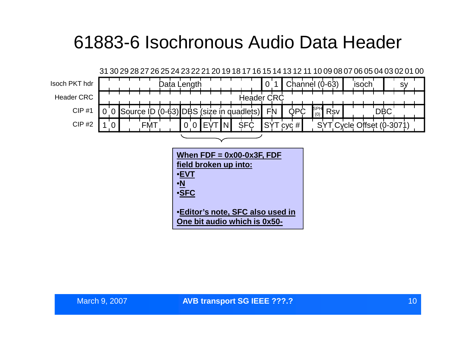### 61883-6 Isochronous Audio Data Header

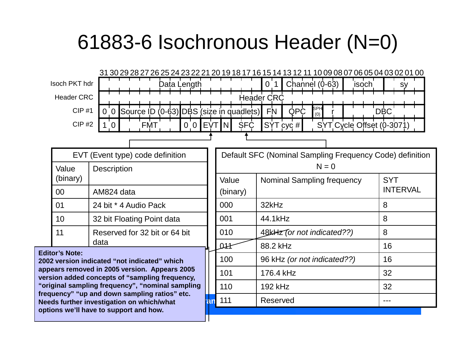### 61883-6 Isochronous Header (N=0)

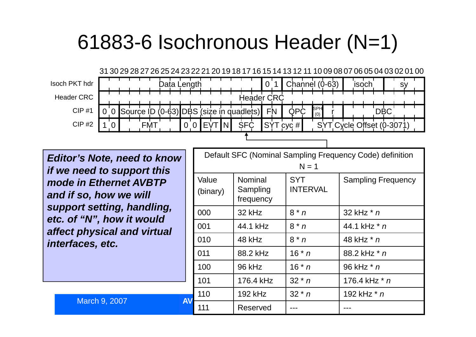### 61883-6 Isochronous Header (N=1)



*Editor's Note, need to know if we need to support this mode in Ethernet AVBTP and if so, how we will support setting, handling, etc. of "N", how it would affect physical and virtual interfaces, etc.*

|           |                   |                                         | $N = 1$                       | Default SFC (Nominal Sampling Frequency Code) definition |
|-----------|-------------------|-----------------------------------------|-------------------------------|----------------------------------------------------------|
|           | Value<br>(binary) | <b>Nominal</b><br>Sampling<br>frequency | <b>SYT</b><br><b>INTERVAL</b> | <b>Sampling Frequency</b>                                |
|           | 000               | 32 kHz                                  | $8 * n$                       | 32 kHz $*$ n                                             |
|           | 001               | 44.1 kHz                                | $8 * n$                       | 44.1 kHz $*$ n                                           |
|           | 010               | 48 kHz                                  | $8 * n$                       | 48 kHz * n                                               |
|           | 011               | 88.2 kHz                                | $16 * n$                      | 88.2 kHz * n                                             |
|           | 100               | 96 kHz                                  | $16 * n$                      | 96 kHz * n                                               |
|           | 101               | 176.4 kHz                               | $32 * n$                      | 176.4 kHz * n                                            |
| <b>AV</b> | 110               | <b>192 kHz</b>                          | $32 * n$                      | 192 kHz * n                                              |
|           | 111               | Reserved                                |                               |                                                          |

March 9, 2007 **AV**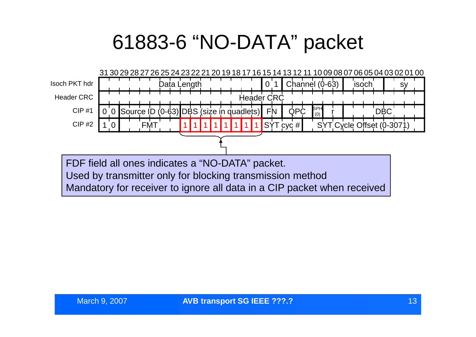### 61883-6 "NO-DATA" packet

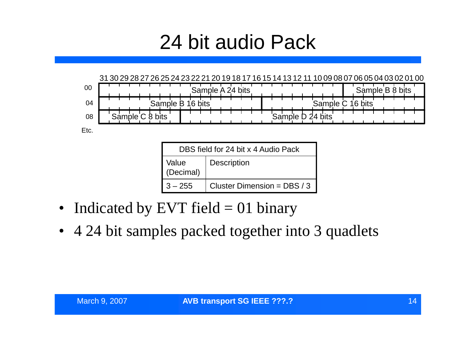### 24 bit audio Pack



|                    | DBS field for 24 bit x 4 Audio Pack |
|--------------------|-------------------------------------|
| Value<br>(Decimal) | <b>Description</b>                  |
| $3 - 255$          | Cluster Dimension = DBS / 3         |

- Indicated by EVT field  $= 01$  binary
- 4 24 bit samples packed together into 3 quadlets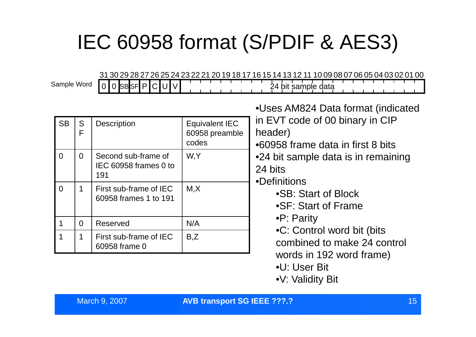## IEC 60958 format (S/PDIF & AES3)

31 30 29 28 27 26 25 24 23 22 21 20 19 18 17 16 15 14 13 12 11 10 09 08 07 06 05 04 03 02 01 00

24 bit sample data Sample Word

 $s$ B $s$ F $|$ P $|$ 

| <b>SB</b> | S<br>F   | <b>Description</b>                                  | <b>Equivalent IEC</b><br>60958 preamble<br>codes | •Uses AM824 Data format (indicated<br>in EVT code of 00 binary in CIP<br>header)<br>•60958 frame data in first 8 bits |
|-----------|----------|-----------------------------------------------------|--------------------------------------------------|-----------------------------------------------------------------------------------------------------------------------|
| $\Omega$  | $\Omega$ | Second sub-frame of<br>IEC 60958 frames 0 to<br>191 | W,Y                                              | •24 bit sample data is in remaining<br>24 bits<br>•Definitions                                                        |
| $\Omega$  |          | First sub-frame of IEC<br>60958 frames 1 to 191     | M, X                                             | •SB: Start of Block<br>•SF: Start of Frame                                                                            |
|           | $\Omega$ | Reserved                                            | N/A                                              | $\bullet$ P: Parity                                                                                                   |
|           | 1        | First sub-frame of IEC<br>60958 frame 0             | B, Z                                             | •C: Control word bit (bits<br>combined to make 24 control<br>words in 192 word frame)                                 |
|           |          |                                                     |                                                  | •U: User Bit                                                                                                          |

•V: Validity Bit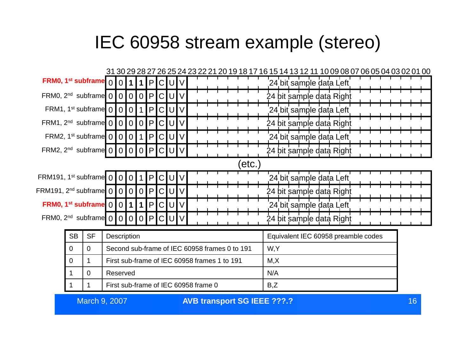### IEC 60958 stream example (stereo)



March 9, 2007 16 **AVB transport SG IEEE ???.?**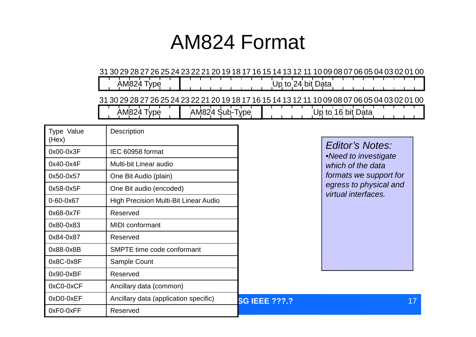### AM824 Format

#### 31 30 29 28 27 26 25 24 23 22 21 20 19 18 17 16 15 14 13 12 11 10 09 08 07 06 05 04 03 02 01 00

 $\sqrt{\mathsf{Up}}$  to 24 bit Data AM824 Type 31 30 29 28 27 26 25 24 23 22 21 20 19 18 17 16 15 14 13 12 11 10 09 08 07 06 05 04 03 02 01 00 AM824 Type AM824 Sub-Type Up to 16 bit Data

| Type Value<br>(Hex) | Description                                  |                      |                                           |
|---------------------|----------------------------------------------|----------------------|-------------------------------------------|
| 0x00-0x3F           | IEC 60958 format                             |                      | Editor's Notes:                           |
| 0x40-0x4F           | Multi-bit Linear audio                       |                      | •Need to investigate<br>which of the data |
| 0x50-0x57           | One Bit Audio (plain)                        |                      | formats we support for                    |
| 0x58-0x5F           | One Bit audio (encoded)                      |                      | egress to physical and                    |
| 0-60-0x67           | <b>High Precision Multi-Bit Linear Audio</b> |                      | virtual interfaces.                       |
| 0x68-0x7F           | Reserved                                     |                      |                                           |
| 0x80-0x83           | <b>MIDI</b> conformant                       |                      |                                           |
| 0x84-0x87           | Reserved                                     |                      |                                           |
| 0x88-0x8B           | SMPTE time code conformant                   |                      |                                           |
| 0x8C-0x8F           | Sample Count                                 |                      |                                           |
| $0x90-0xBF$         | Reserved                                     |                      |                                           |
| $0xC0-0xCF$         | Ancillary data (common)                      |                      |                                           |
| 0xD0-0xEF           | Ancillary data (application specific)        | <b>SG IEEE ???.?</b> | 17                                        |
| 0xF0-0xFF           | Reserved                                     |                      |                                           |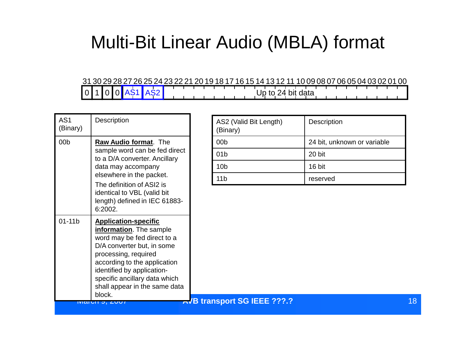### Multi-Bit Linear Audio (MBLA) format

#### 31 30 29 28 27 26 25 24 23 22 21 20 19 18 17 16 15 14 13 12 11 10 09 08 07 06 05 04 03 02 01 00 0 1 0 0 AS1 AS2 Up to 24 bit data

| AS <sub>1</sub><br>(Binary) | Description                                                                                                                                                                                                                                                                           | AS2 (Valid Bit Length)<br>(Binary) | Description                 |    |
|-----------------------------|---------------------------------------------------------------------------------------------------------------------------------------------------------------------------------------------------------------------------------------------------------------------------------------|------------------------------------|-----------------------------|----|
| 00 <sub>b</sub>             | Raw Audio format. The                                                                                                                                                                                                                                                                 | 00 <sub>b</sub>                    | 24 bit, unknown or variable |    |
|                             | sample word can be fed direct<br>to a D/A converter. Ancillary                                                                                                                                                                                                                        | 01 <sub>b</sub>                    | 20 bit                      |    |
|                             | data may accompany                                                                                                                                                                                                                                                                    | 10 <sub>b</sub>                    | 16 bit                      |    |
|                             | elsewhere in the packet.<br>The definition of ASI2 is                                                                                                                                                                                                                                 | 11 <sub>b</sub>                    | reserved                    |    |
|                             | identical to VBL (valid bit<br>length) defined in IEC 61883-<br>6:2002.                                                                                                                                                                                                               |                                    |                             |    |
| $01-11b$                    | <b>Application-specific</b><br>information. The sample<br>word may be fed direct to a<br>D/A converter but, in some<br>processing, required<br>according to the application<br>identified by application-<br>specific ancillary data which<br>shall appear in the same data<br>block. |                                    |                             |    |
|                             | IVIQUIJ, ZUUI                                                                                                                                                                                                                                                                         | AVB transport SG IEEE ???.?        |                             | 18 |

| AS2 (Valid Bit Length)<br>(Binary) | <b>Description</b>          |
|------------------------------------|-----------------------------|
| 00 <sub>b</sub>                    | 24 bit, unknown or variable |
| 01 <sub>b</sub>                    | 20 bit                      |
| 10 <sub>b</sub>                    | 16 bit                      |
| 11 <sub>b</sub>                    | reserved                    |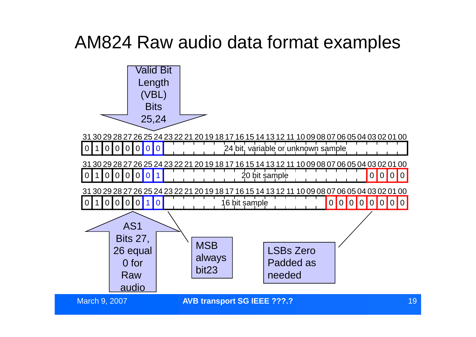### AM824 Raw audio data format examples

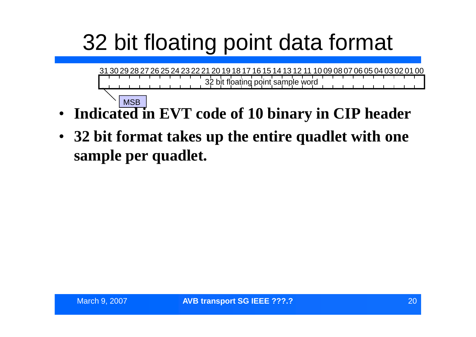# 32 bit floating point data format

31 30 29 28 27 26 25 24 23 22 21 20 19 18 17 16 15 14 13 12 11 10 09 08 07 06 05 04 03 02 01 00 32 bit floating point sample word **MSB** 

- **Indicated in EVT code of 10 binary in CIP header**
- **32 bit format takes up the entire quadlet with one sample per quadlet.**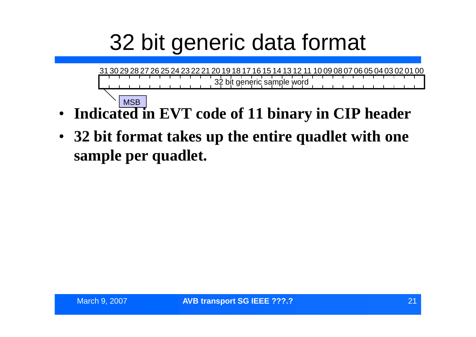# 32 bit generic data format

31 30 29 28 27 26 25 24 23 22 21 20 19 18 17 16 15 14 13 12 11 10 09 08 07 06 05 04 03 02 01 00 32 bit generic sample word **MSB** 

- **Indicated in EVT code of 11 binary in CIP header**
- **32 bit format takes up the entire quadlet with one sample per quadlet.**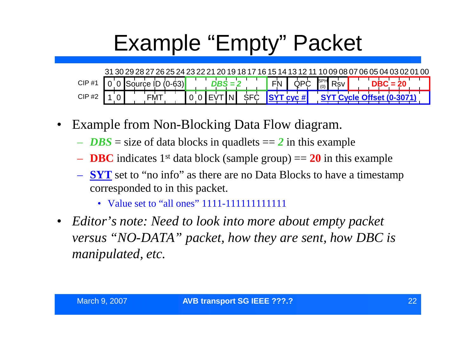# Example "Empty" Packet

31 30 29 28 27 26 25 24 23 22 21 20 19 18 17 16 15 14 13 12 11 10 09 08 07 06 05 04 03 02 01 00 CIP #1 CIP #2 0 0 Source ID  $(0.63)$  DBS = 2 FN QPC  $\int_{0}^{5}$  Rsv 1 0 FMT SPH (0) 0 0 EVT  $\overline{DBS} = 2$  **FN**  $\overline{QPC}$   $\overline{SPH}$   $\overline{RS}$ 

- Example from Non-Blocking Data Flow diagram.
	- $-$  *DBS* = size of data blocks in quadlets =  $2$  in this example
	- **DBC** indicates 1<sup>st</sup> data block (sample group)  $= 20$  in this example
	- **SYT** set to "no info" as there are no Data Blocks to have a timestamp corresponded to in this packet.
		- Value set to "all ones"1111-111111111111
- *Editor's note: Need to look into more about empty packet versus "NO-DATA"packet, how they are sent, how DBC is manipulated, etc.*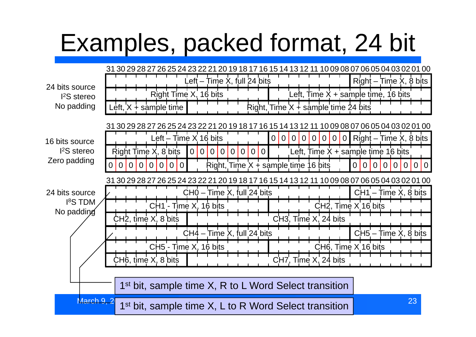# Examples, packed format, 24 bit

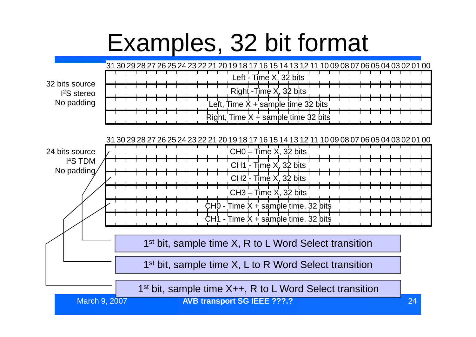# Examples, 32 bit format

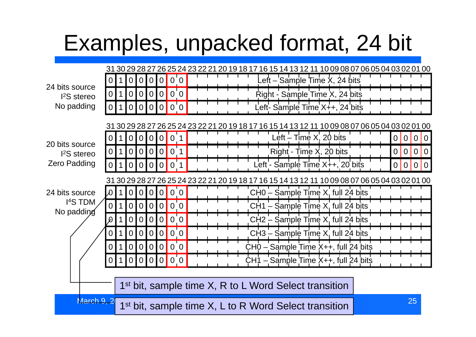# Examples, unpacked format, 24 bit

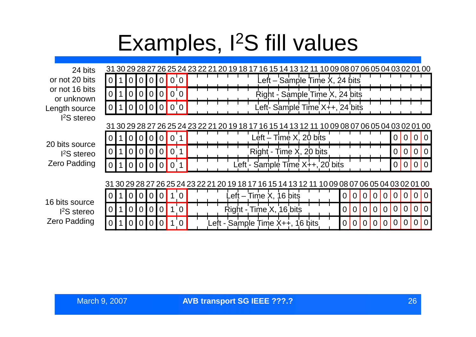## Examples, I<sup>2</sup>S fill values

24 bits or not 20 bits or not 16 bits or unknown Length source I <sup>2</sup>S stereo

20 bits source I <sup>2</sup>S stereo Zero Padding

16 bits source I <sup>2</sup>S stereo Zero Padding

|  |          |          |                |                |          |          |  |  |  |  |  | 31 30 29 28 27 26 25 24 23 22 21 20 19 18 17 16 15 14 13 12 11 10 09 08 07 06 05 04 03 02 01 00 |  |  |          |   |          |          |          |          |          |                |
|--|----------|----------|----------------|----------------|----------|----------|--|--|--|--|--|-------------------------------------------------------------------------------------------------|--|--|----------|---|----------|----------|----------|----------|----------|----------------|
|  |          |          |                |                |          |          |  |  |  |  |  | Left – Sample Time X, 24 bits                                                                   |  |  |          |   |          |          |          |          |          |                |
|  |          |          |                | 0              |          |          |  |  |  |  |  | Right - Sample Time X, 24 bits                                                                  |  |  |          |   |          |          |          |          |          |                |
|  |          |          |                |                |          | $\Omega$ |  |  |  |  |  | Left- Sample Time X++, 24 bits                                                                  |  |  |          |   |          |          |          |          |          |                |
|  |          |          |                |                |          |          |  |  |  |  |  | 31 30 29 28 27 26 25 24 23 22 21 20 19 18 17 16 15 14 13 12 11 10 09 08 07 06 05 04 03 02 01 00 |  |  |          |   |          |          |          |          |          |                |
|  | $\Omega$ |          | $\overline{0}$ | $\overline{0}$ | 0        |          |  |  |  |  |  | Left $-$ Time $X$ , 20 bits                                                                     |  |  |          |   |          |          | O        | O        |          | $\Omega$       |
|  | $\Omega$ | $\Omega$ | $\Omega$       | $\Omega$       | $\Omega$ |          |  |  |  |  |  | Right - Time X, 20 bits                                                                         |  |  |          |   |          |          | $\Omega$ | $\Omega$ |          | $\Omega$       |
|  |          |          |                | $\Omega$       |          |          |  |  |  |  |  | Left - Sample Time X++, 20 bits                                                                 |  |  |          |   |          |          | $\Omega$ | $\Omega$ |          | $\Omega$       |
|  |          |          |                |                |          |          |  |  |  |  |  | 31 30 29 28 27 26 25 24 23 22 21 20 19 18 17 16 15 14 13 12 11 10 09 08 07 06 05 04 03 02 01 00 |  |  |          |   |          |          |          |          |          |                |
|  |          |          | 0              | $\Omega$       |          | 0        |  |  |  |  |  | $_{\text{eff}}$ – Time X, 16 bits                                                               |  |  | 0        | 0 |          |          |          | $\Omega$ |          | $\Omega$       |
|  | $\Omega$ |          | 0              | $\Omega$       |          | $\Omega$ |  |  |  |  |  | Right - Time X, 16 bits                                                                         |  |  | $\Omega$ | 0 | $\Omega$ | $\Omega$ | $\Omega$ | $\Omega$ | $\Omega$ | $\overline{0}$ |
|  |          |          |                |                |          | 0        |  |  |  |  |  | Left - Sample Time X++, 16 bits                                                                 |  |  |          |   |          |          |          | 0        |          | $\Omega$       |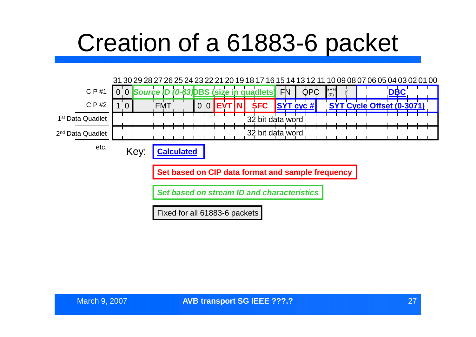# Creation of a 61883-6 packet

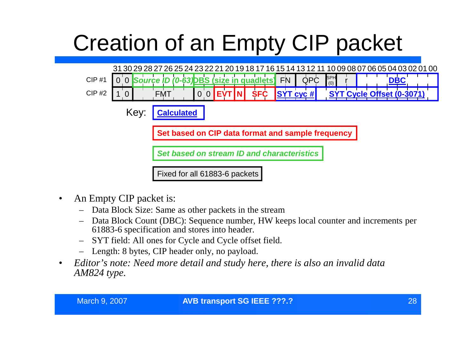# Creation of an Empty CIP packet



- An Empty CIP packet is:
	- Data Block Size: Same as other packets in the stream
	- Data Block Count (DBC): Sequence number, HW keeps local counter and increments per 61883-6 specification and stores into header.
	- SYT field: All ones for Cycle and Cycle offset field.
	- Length: 8 bytes, CIP header only, no payload.
- *Editor's note: Need more detail and study here, there is also an invalid data AM824 type.*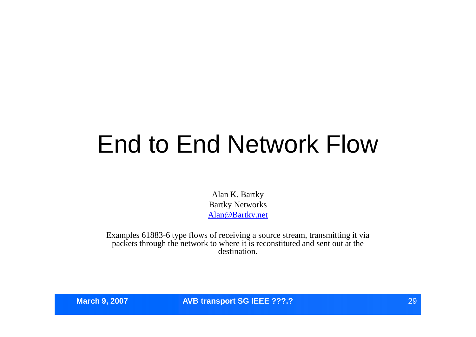# End to End Network Flow

Alan K. Bartky Bartky Networks Alan@Bartky.net

Examples 61883-6 type flows of receiving a source stream, transmitting it via packets through the network to where it is reconstituted and sent out at the destination.

**March 9, 2007 AVB transport SG IEEE ???.?** 29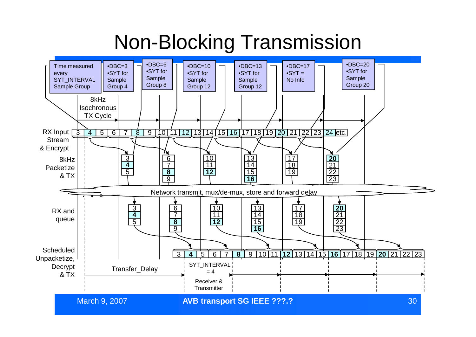### Non-Blocking Transmission

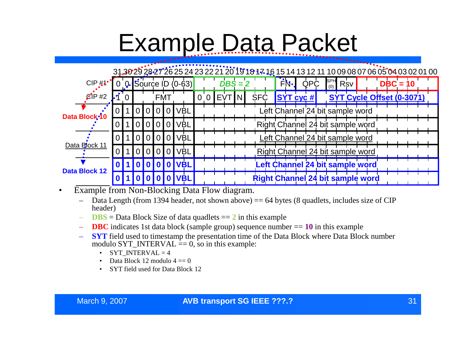# Example Data Packet

### 31.30 29 28 27 26 25 24 23 22 21 20 19 18 17 16 15 14 13 12 11 10 09 08 07 06 05 04 03 02 01 00

| $CIP#1^{\bullet}$          |                               |                |                |                |                                                             |                |            | $[0]$ 0. Source ID $(0.63)$ |                |            | $\overline{DBS} = 2$ |    |            |  | FN.              | <b>QPC</b> | $\begin{bmatrix} \text{SPH} \\ \text{(0)} \end{bmatrix}$ Rsv |  |  | $DBC = 10$ |                           |  |
|----------------------------|-------------------------------|----------------|----------------|----------------|-------------------------------------------------------------|----------------|------------|-----------------------------|----------------|------------|----------------------|----|------------|--|------------------|------------|--------------------------------------------------------------|--|--|------------|---------------------------|--|
| $C$ P $#2$                 |                               | $\Omega$       |                |                | FMT                                                         |                |            |                             | $\overline{0}$ | <b>EVT</b> |                      | N. | <b>SFC</b> |  | $ SYT_{CYC} \# $ |            |                                                              |  |  |            | SYT Cycle Offset (0-3071) |  |
| Data Block <sup>-1</sup> 0 | $\overline{0}$ $\overline{1}$ | $\overline{1}$ | $\overline{0}$ |                | $\begin{array}{c c} \hline 0 & 0 & 0 \\ \hline \end{array}$ |                | <b>VBL</b> |                             |                |            |                      |    |            |  |                  |            | Left Channel 24 bit sample word                              |  |  |            |                           |  |
|                            | 0 <sub>1</sub>                |                | $\overline{0}$ |                | 0101                                                        | 0              | <b>VBL</b> |                             |                |            |                      |    |            |  |                  |            | Right Channel 24 bit sample word                             |  |  |            |                           |  |
| Data Block 11              | 0 I                           |                | 0 I            | $\overline{0}$ | $\overline{0}$                                              | $\overline{0}$ | <b>VBL</b> |                             |                |            |                      |    |            |  |                  |            | eft Channel 24 bit sample word                               |  |  |            |                           |  |
|                            |                               |                |                | $\Omega$       | $\Omega$                                                    | $\Omega$       | <b>VBL</b> |                             |                |            |                      |    |            |  |                  |            | Right Channel 24 bit sample word                             |  |  |            |                           |  |
| <b>Data Block 12</b>       |                               |                |                |                |                                                             |                | <b>VBL</b> |                             |                |            |                      |    |            |  |                  |            | Left Channel 24 bit sample word                              |  |  |            |                           |  |
|                            |                               |                |                |                |                                                             |                |            | <b>IVBL'</b>                |                |            |                      |    |            |  |                  |            | <b>Right Channel 24 bit sample word</b>                      |  |  |            |                           |  |

- Example from Non-Blocking Data Flow diagram.
	- $-$  Data Length (from 1394 header, not shown above)  $== 64$  bytes (8 quadlets, includes size of CIP header)
	- $\overline{DBS}$  = Data Block Size of data quadlets  $=$  2 in this example
	- **DBC** indicates 1st data block (sample group) sequence number == **10** in this example
	- **SYT** field used to timestamp the presentation time of the Data Block where Data Block number modulo SYT\_INTERVAL  $= 0$ , so in this example:
		- SYT\_INTERVAL  $= 4$
		- Data Block 12 modulo  $4 \equiv 0$
		- SYT field used for Data Block 12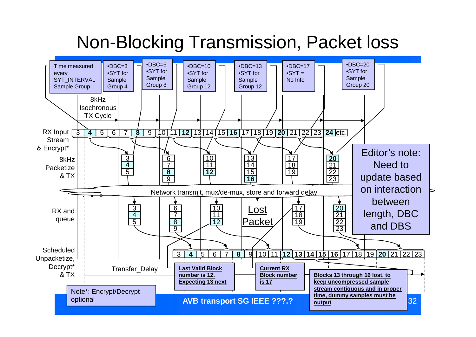### Non-Blocking Transmission, Packet loss

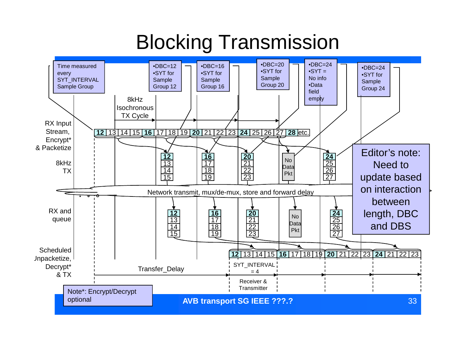### Blocking Transmission

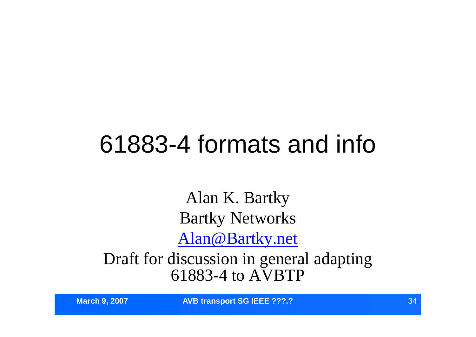# 61883-4 formats and info

Alan K. Bartky Bartky Networks Alan@Bartky.net

Draft for discussion in general adapting 61883-4 to AVBTP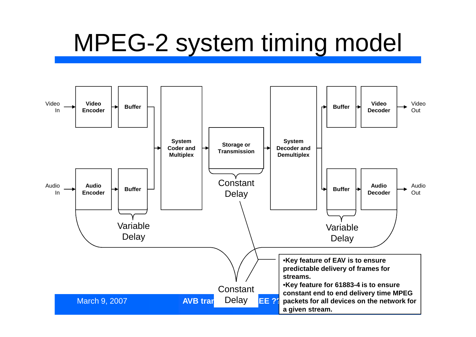# MPEG-2 system timing model

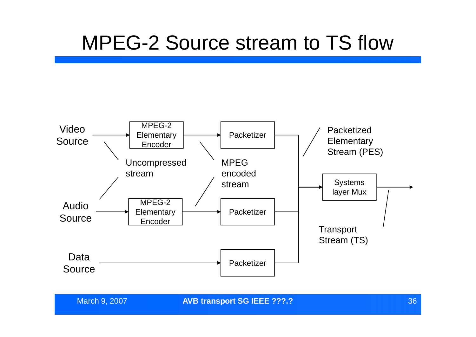### MPEG-2 Source stream to TS flow



**March 9, 2007 36 AVB transport SG IEEE ???.?** 2007 36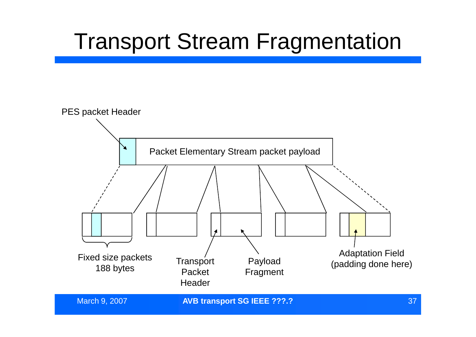#### Transport Stream Fragmentation

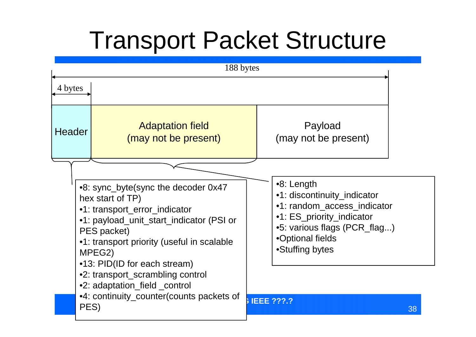# Transport Packet Structure

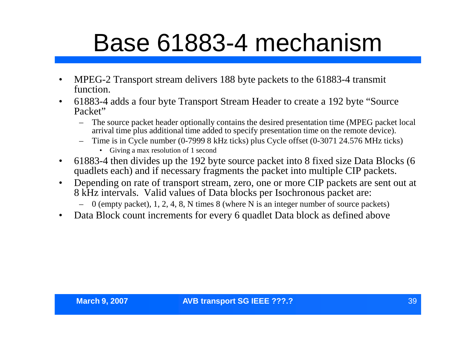# Base 61883-4 mechanism

- MPEG-2 Transport stream delivers 188 byte packets to the 61883-4 transmit function.
- 61883-4 adds a four byte Transport Stream Header to create a 192 byte "Source Packet"
	- The source packet header optionally contains the desired presentation time (MPEG packet local arrival time plus additional time added to specify presentation time on the remote device).
	- Time is in Cycle number (0-7999 8 kHz ticks) plus Cycle offset (0-3071 24.576 MHz ticks)
		- Giving a max resolution of 1 second
- 61883-4 then divides up the 192 byte source packet into 8 fixed size Data Blocks (6 quadlets each) and if necessary fragments the packet into multiple CIP packets.
- Depending on rate of transport stream, zero, one or more CIP packets are sent out at 8 kHz intervals. Valid values of Data blocks per Isochronous packet are:
	- $-$  0 (empty packet), 1, 2, 4, 8, N times 8 (where N is an integer number of source packets)
- Data Block count increments for every 6 quadlet Data block as defined above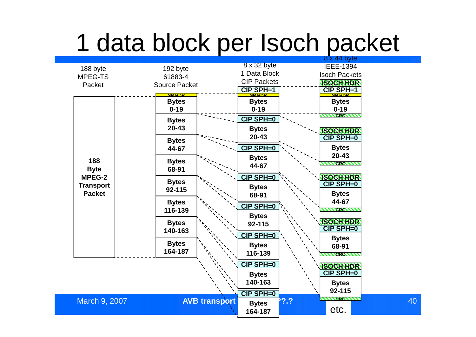# 1 data block per Isoch packet

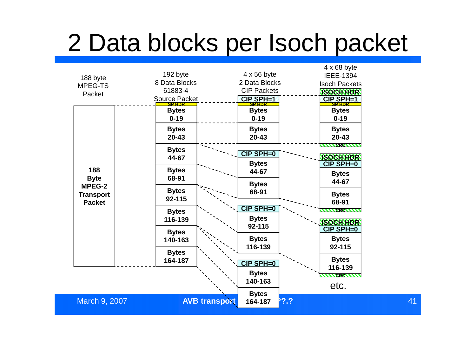# 2 Data blocks per Isoch packet

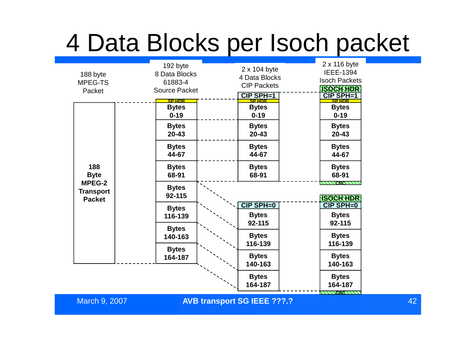# 4 Data Blocks per Isoch packet

| 188 byte<br>MPEG-TS<br>Packet                                            | 192 byte<br>8 Data Blocks<br>61883-4<br><b>Source Packet</b><br><b>SP HDR</b> | 2 x 104 byte<br>4 Data Blocks<br><b>CIP Packets</b><br>CIP SPH=1<br><b>SP HDR</b> | 2 x 116 byte<br><b>IEEE-1394</b><br><b>Isoch Packets</b><br><b>ISOCH HDR</b><br><b>CIP SPH=1</b><br><b>SP HDR</b> |    |
|--------------------------------------------------------------------------|-------------------------------------------------------------------------------|-----------------------------------------------------------------------------------|-------------------------------------------------------------------------------------------------------------------|----|
| 188<br><b>Byte</b><br><b>MPEG-2</b><br><b>Transport</b><br><b>Packet</b> | <b>Bytes</b><br>$0 - 19$                                                      | <b>Bytes</b><br>$0 - 19$                                                          | <b>Bytes</b><br>$0 - 19$                                                                                          |    |
|                                                                          | <b>Bytes</b><br>$20 - 43$                                                     | <b>Bytes</b><br>$20 - 43$                                                         | <b>Bytes</b><br>$20 - 43$                                                                                         |    |
|                                                                          | <b>Bytes</b><br>44-67                                                         | <b>Bytes</b><br>44-67                                                             | <b>Bytes</b><br>44-67                                                                                             |    |
|                                                                          | <b>Bytes</b><br>68-91                                                         | <b>Bytes</b><br>68-91                                                             | <b>Bytes</b><br>68-91                                                                                             |    |
|                                                                          | <b>Bytes</b><br>92-115                                                        |                                                                                   | <b><i>AAAAASCAAAA</i></b><br><b>ISOCH HDR</b>                                                                     |    |
|                                                                          | <b>Bytes</b><br>116-139                                                       | <b>CIP SPH=0</b><br><b>Bytes</b>                                                  | <b>CIP SPH=0</b><br><b>Bytes</b>                                                                                  |    |
|                                                                          | <b>Bytes</b><br>140-163                                                       | 92-115<br><b>Bytes</b>                                                            | 92-115<br><b>Bytes</b>                                                                                            |    |
|                                                                          | <b>Bytes</b><br>164-187                                                       | 116-139<br><b>Bytes</b><br>140-163                                                | 116-139<br><b>Bytes</b><br>140-163                                                                                |    |
|                                                                          |                                                                               | <b>Bytes</b><br>164-187                                                           | <b>Bytes</b><br>164-187                                                                                           |    |
| March 9, 2007                                                            |                                                                               | <b>AVB transport SG IEEE ???.?</b>                                                | <b>WWW.GWW</b>                                                                                                    | 42 |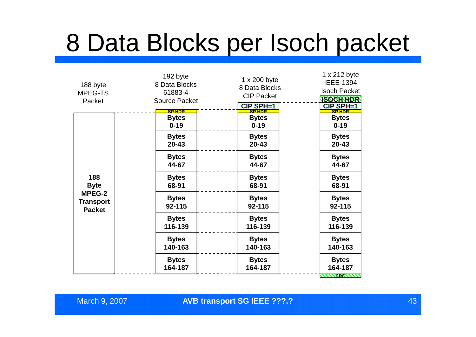## 8 Data Blocks per Isoch packet

| 192 byte<br>8 Data Blocks<br>61883-4 | 1 x 200 byte<br>8 Data Blocks<br><b>CIP Packet</b><br><b>CIP SPH=1</b> | 1 x 212 byte<br><b>IEEE-1394</b><br><b>Isoch Packet</b><br><b>ISOCH HDR</b><br>CIP SPH=1 |
|--------------------------------------|------------------------------------------------------------------------|------------------------------------------------------------------------------------------|
| <b>Bytes</b>                         | <b>Bytes</b>                                                           | <b>Bytes</b>                                                                             |
| $0 - 19$                             | $0 - 19$                                                               | $0 - 19$                                                                                 |
| <b>Bytes</b>                         | <b>Bytes</b>                                                           | <b>Bytes</b>                                                                             |
| $20 - 43$                            | $20 - 43$                                                              | $20 - 43$                                                                                |
| <b>Bytes</b>                         | <b>Bytes</b>                                                           | <b>Bytes</b>                                                                             |
| 44-67                                | 44-67                                                                  | 44-67                                                                                    |
| <b>Bytes</b>                         | <b>Bytes</b>                                                           | <b>Bytes</b>                                                                             |
| 68-91                                | 68-91                                                                  | 68-91                                                                                    |
| <b>Bytes</b>                         | <b>Bytes</b>                                                           | <b>Bytes</b>                                                                             |
| 92-115                               | 92-115                                                                 | 92-115                                                                                   |
| <b>Bytes</b>                         | <b>Bytes</b>                                                           | <b>Bytes</b>                                                                             |
| 116-139                              | 116-139                                                                | 116-139                                                                                  |
| <b>Bytes</b>                         | <b>Bytes</b>                                                           | <b>Bytes</b>                                                                             |
| 140-163                              | 140-163                                                                | 140-163                                                                                  |
| <b>Bytes</b>                         | <b>Bytes</b>                                                           | <b>Bytes</b>                                                                             |
| 164-187                              | 164-187                                                                | 164-187<br><b>WWW.ERKWWWW</b>                                                            |
|                                      | <b>Source Packet</b><br><b>SP HDR</b>                                  | <b>SP HDR</b>                                                                            |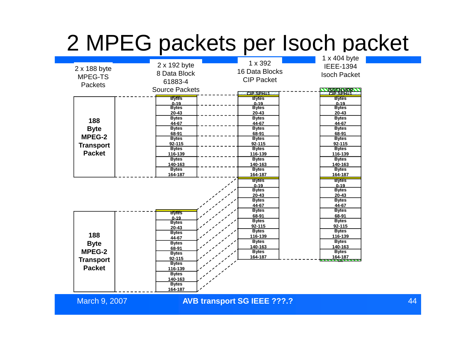#### 2 MPEG packets per Isoch packet

|                         |                       |                       | 1 x 404 byte          |
|-------------------------|-----------------------|-----------------------|-----------------------|
|                         | 2 x 192 byte          | 1 x 392               | <b>IEEE-1394</b>      |
| 2 x 188 byte            |                       | 16 Data Blocks        |                       |
| 8 Data Block<br>MPEG-TS |                       |                       | <b>Isoch Packet</b>   |
|                         | 61883-4               | <b>CIP Packet</b>     |                       |
| <b>Packets</b>          |                       |                       |                       |
|                         | <b>Source Packets</b> | $CIP$ SPH $=$ 1       | <b>NSOCH HDR.</b>     |
|                         | <b>Bytes</b>          | <b>Bytes</b>          | <b>Bytes</b>          |
|                         | $0 - 19$              | $0 - 19$              | $0 - 19$              |
|                         | <b>Bytes</b>          | <b>Bytes</b>          | <b>Bytes</b>          |
|                         | 20-43                 | $20 - 43$             | $20 - 43$             |
| 188                     | <b>Bytes</b>          | <b>Bytes</b>          | <b>Bytes</b>          |
|                         | 44-67                 | 44-67                 | 44-67                 |
| <b>Byte</b>             | <b>Bytes</b>          | <b>Bytes</b>          | <b>Bytes</b>          |
| MPEG-2                  | 68-91<br><b>Bytes</b> | 68-91<br><b>Bytes</b> | 68-91<br><b>Bytes</b> |
|                         | 92-115                | 92-115                | $92 - 115$            |
| <b>Transport</b>        | <b>Bytes</b>          | <b>Bytes</b>          | <b>Bytes</b>          |
| <b>Packet</b>           | 116-139               | 116-139               | 116-139               |
|                         | <b>Bytes</b>          | <b>Bytes</b>          | <b>Bytes</b>          |
|                         | 140-163               | 140-163               | 140-163               |
|                         | <b>Bytes</b>          | <b>Bytes</b>          | <b>Bytes</b>          |
|                         | 164-187               | 164-187               | 164-187               |
|                         |                       | <b>Bytes</b>          | <b>Bytes</b>          |
|                         |                       | $0 - 19$              | $0 - 19$              |
|                         |                       | <b>Bytes</b>          | <b>Bytes</b>          |
|                         |                       | $20 - 43$             | $20 - 43$             |
|                         |                       | <b>Bytes</b>          | <b>Bytes</b>          |
|                         |                       | 44-67                 | 44-67                 |
|                         | <b>Bytes</b>          | <b>Bytes</b>          | <b>Bytes</b>          |
|                         | $0 - 19$              | 68-91<br><b>Bytes</b> | 68-91<br><b>Bytes</b> |
|                         | <b>Bytes</b>          | 92-115                | 92-115                |
|                         | 20-43                 | <b>Bytes</b>          | <b>Bytes</b>          |
| 188                     | <b>Bytes</b>          | 116-139               | 116-139               |
|                         | 44-67<br><b>Bytes</b> | <b>Bytes</b>          | <b>Bytes</b>          |
| <b>Byte</b>             | 68-91                 | 140-163               | 140-163               |
| <b>MPEG-2</b>           | <b>Bytes</b>          | <b>Bytes</b>          | <b>Bytes</b>          |
|                         | 92-115                | 164-187               | 164-187               |
| <b>Transport</b>        | <b>Bytes</b>          |                       |                       |
| <b>Packet</b>           | 116-139               |                       |                       |
|                         | <b>Bytes</b>          |                       |                       |
|                         | 140-163               |                       |                       |
|                         | <b>Bytes</b>          |                       |                       |
|                         | 164-187               |                       |                       |
|                         |                       |                       |                       |

March 9, 2007 44 **AVB transport SG IEEE ???.?**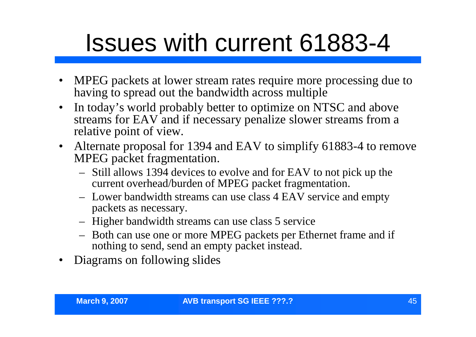# Issues with current 61883-4

- MPEG packets at lower stream rates require more processing due to having to spread out the bandwidth across multiple
- In today's world probably better to optimize on NTSC and above streams for EAV and if necessary penalize slower streams from a relative point of view.
- Alternate proposal for 1394 and EAV to simplify 61883-4 to remove MPEG packet fragmentation.
	- Still allows 1394 devices to evolve and for EAV to not pick up the current overhead/burden of MPEG packet fragmentation.
	- Lower bandwidth streams can use class 4 EAV service and empty packets as necessary.
	- Higher bandwidth streams can use class 5 service
	- Both can use one or more MPEG packets per Ethernet frame and if nothing to send, send an empty packet instead.
- Diagrams on following slides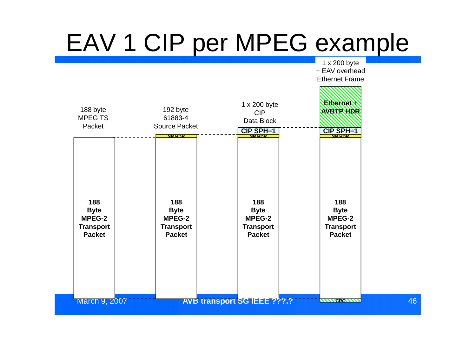# EAV 1 CIP per MPEG example

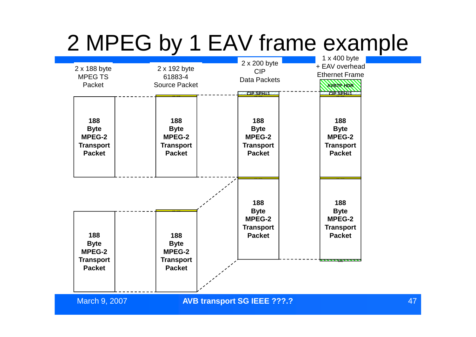### 2 MPEG by 1 EAV frame example

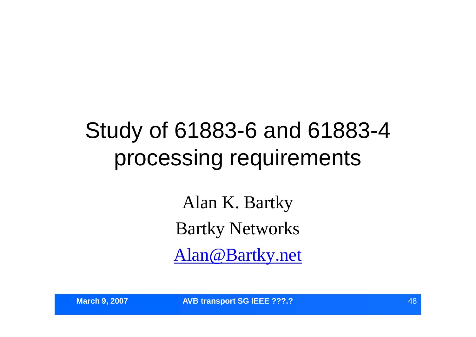#### Study of 61883-6 and 61883-4 processing requirements

Alan K. Bartky Bartky Networks Alan@Bartky.net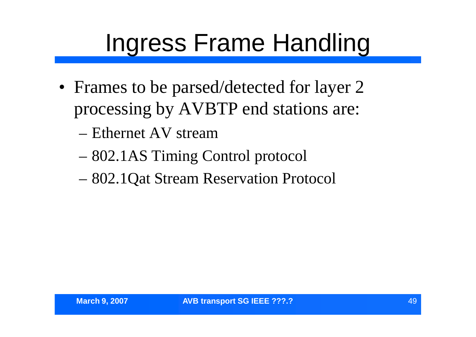# Ingress Frame Handling

- Frames to be parsed/detected for layer 2 processing by AVBTP end stations are:
	- –Ethernet AV stream
	- –802.1AS Timing Control protocol
	- –802.1Qat Stream Reservation Protocol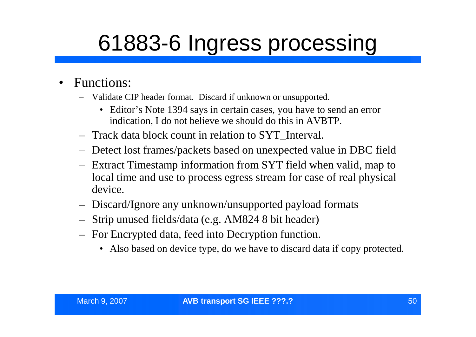# 61883-6 Ingress processing

- Functions:
	- Validate CIP header format. Discard if unknown or unsupported.
		- Editor's Note 1394 says in certain cases, you have to send an error indication, I do not believe we should do this in AVBTP.
	- Track data block count in relation to SYT\_Interval.
	- Detect lost frames/packets based on unexpected value in DBC field
	- Extract Timestamp information from SYT field when valid, map to local time and use to process egress stream for case of real physical device.
	- Discard/Ignore any unknown/unsupported payload formats
	- Strip unused fields/data (e.g. AM824 8 bit header)
	- For Encrypted data, feed into Decryption function.
		- Also based on device type, do we have to discard data if copy protected.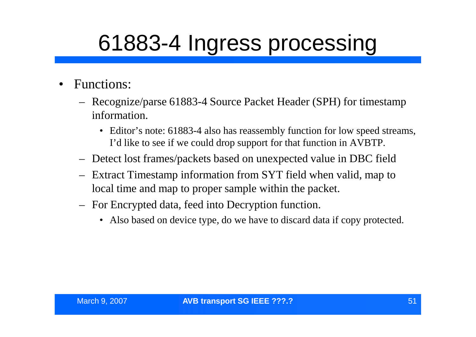## 61883-4 Ingress processing

- Functions:
	- Recognize/parse 61883-4 Source Packet Header (SPH) for timestamp information.
		- Editor's note: 61883-4 also has reassembly function for low speed streams, I'd like to see if we could drop support for that function in AVBTP.
	- Detect lost frames/packets based on unexpected value in DBC field
	- Extract Timestamp information from SYT field when valid, map to local time and map to proper sample within the packet.
	- For Encrypted data, feed into Decryption function.
		- Also based on device type, do we have to discard data if copy protected.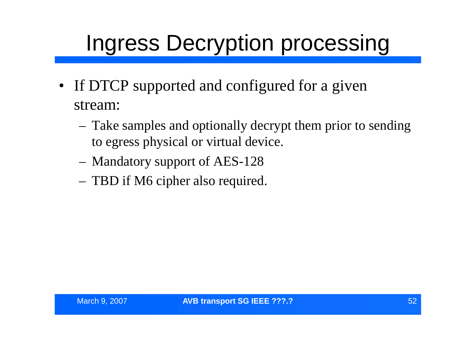### Ingress Decryption processing

- If DTCP supported and configured for a given stream:
	- Take samples and optionally decrypt them prior to sending to egress physical or virtual device.
	- Mandatory support of AES-128
	- TBD if M6 cipher also required.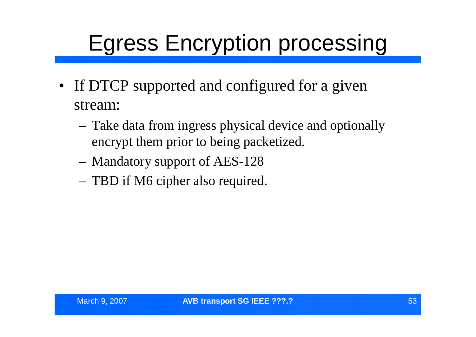### Egress Encryption processing

- If DTCP supported and configured for a given stream:
	- Take data from ingress physical device and optionally encrypt them prior to being packetized.
	- Mandatory support of AES-128
	- TBD if M6 cipher also required.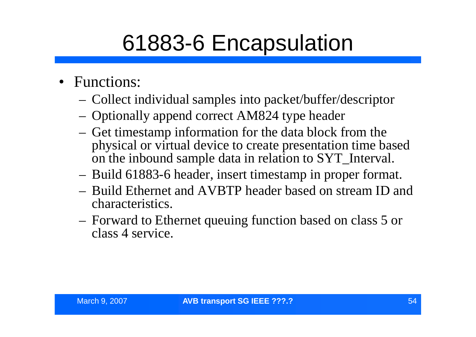### 61883-6 Encapsulation

- Functions:
	- Collect individual samples into packet/buffer/descriptor
	- Optionally append correct AM824 type header
	- Get timestamp information for the data block from the physical or virtual device to create presentation time based on the inbound sample data in relation to SYT\_Interval.
	- Build 61883-6 header, insert timestamp in proper format.
	- Build Ethernet and AVBTP header based on stream ID and characteristics.
	- Forward to Ethernet queuing function based on class 5 or class 4 service.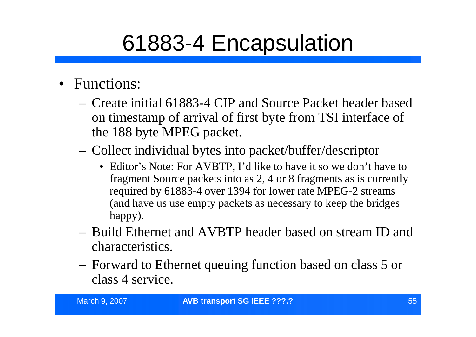### 61883-4 Encapsulation

- Functions:
	- Create initial 61883-4 CIP and Source Packet header based on timestamp of arrival of first byte from TSI interface of the 188 byte MPEG packet.
	- Collect individual bytes into packet/buffer/descriptor
		- Editor's Note: For AVBTP, I'd like to have it so we don't have to fragment Source packets into as 2, 4 or 8 fragments as is currently required by 61883-4 over 1394 for lower rate MPEG-2 streams (and have us use empty packets as necessary to keep the bridges happy).
	- Build Ethernet and AVBTP header based on stream ID and characteristics.
	- Forward to Ethernet queuing function based on class 5 or class 4 service.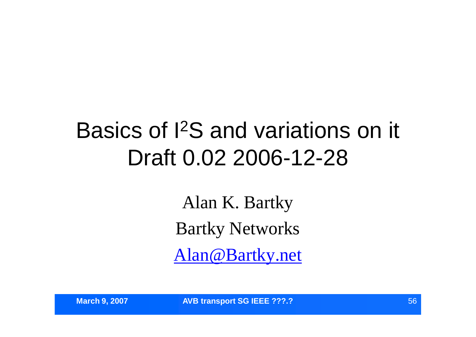#### Basics of I<sup>2</sup>S and variations on it Draft 0.02 2006-12-28

Alan K. Bartky Bartky Networks Alan@Bartky.net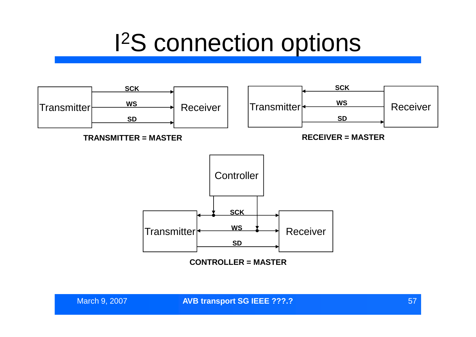# I <sup>2</sup>S connection options

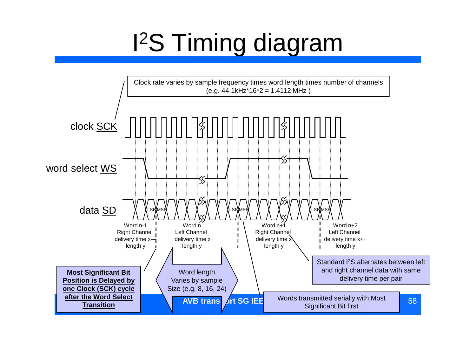# I <sup>2</sup>S Timing diagram

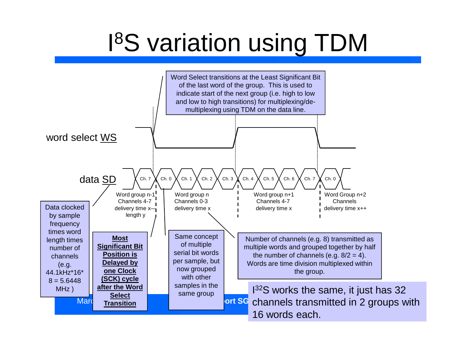# I <sup>8</sup>S variation using TDM

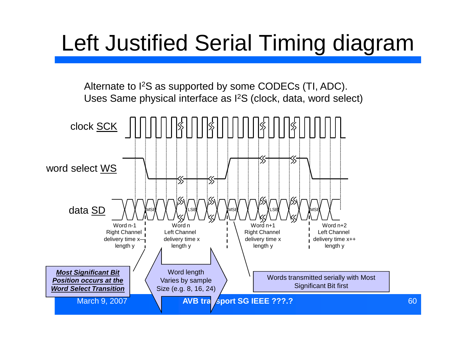### Left Justified Serial Timing diagram

Alternate to I<sup>2</sup>S as supported by some CODECs (TI, ADC). Uses Same physical interface as I<sup>2</sup>S (clock, data, word select)

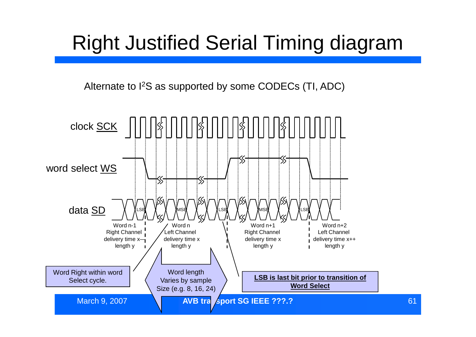#### Right Justified Serial Timing diagram

Alternate to I<sup>2</sup>S as supported by some CODECs (TI, ADC)

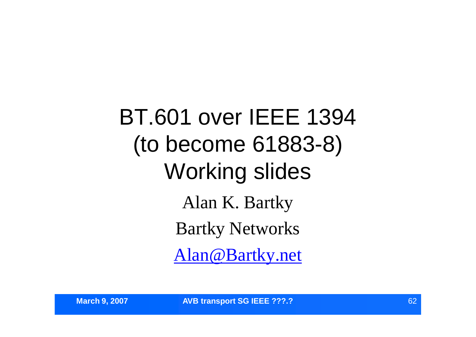BT.601 over IEEE 1394 (to become 61883-8) Working slides Alan K. Bartky Bartky Networks Alan@Bartky.net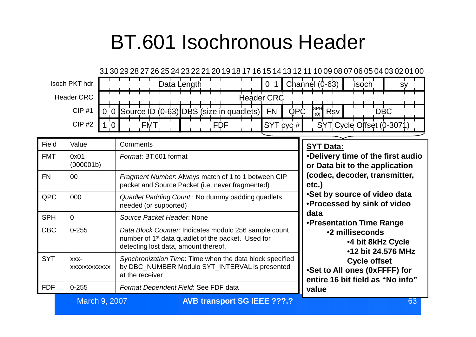#### BT.601 Isochronous Header



| Field      | Value                   | Comments                                                                                                                                                        | <b>SYT Data:</b>                                                                                                                                              |  |
|------------|-------------------------|-----------------------------------------------------------------------------------------------------------------------------------------------------------------|---------------------------------------------------------------------------------------------------------------------------------------------------------------|--|
| <b>FMT</b> | 0x01<br>(000001b)       | Format: BT.601 format                                                                                                                                           | •Delivery time of the first audio<br>or Data bit to the application                                                                                           |  |
| <b>FN</b>  | $00\,$                  | Fragment Number. Always match of 1 to 1 between CIP<br>packet and Source Packet (i.e. never fragmented)                                                         | (codec, decoder, transmitter,<br>etc.)<br>•Set by source of video data<br>.Processed by sink of video                                                         |  |
| <b>QPC</b> | 000                     | Quadlet Padding Count: No dummy padding quadlets<br>needed (or supported)                                                                                       |                                                                                                                                                               |  |
| <b>SPH</b> | $\Omega$                | Source Packet Header, None                                                                                                                                      | data<br>•Presentation Time Range                                                                                                                              |  |
| <b>DBC</b> | $0 - 255$               | Data Block Counter: Indicates modulo 256 sample count<br>number of 1 <sup>st</sup> data quadlet of the packet. Used for<br>detecting lost data, amount thereof. | •2 milliseconds<br><b>.4 bit 8kHz Cycle</b><br>•12 bit 24.576 MHz<br><b>Cycle offset</b><br>•Set to All ones (0xFFFF) for<br>entire 16 bit field as "No info" |  |
| <b>SYT</b> | $XXX$ -<br>XXXXXXXXXXXX | Synchronization Time: Time when the data block specified<br>by DBC NUMBER Modulo SYT INTERVAL is presented<br>at the receiver                                   |                                                                                                                                                               |  |
| <b>FDF</b> | $0 - 255$               | Format Dependent Field: See FDF data                                                                                                                            | value                                                                                                                                                         |  |

**March 9, 2007 63 AVB transport SG IEEE ???.? CONVERTED ASSESSED AT A CONVERTED A CONVERTED A CONVERTED A CONVERTED A CONVERTED A CONVERTED A CONVERTED A CONVERTED A CONVERTED A CONVERTED A CONVERTED A CONVERTED A CONVER**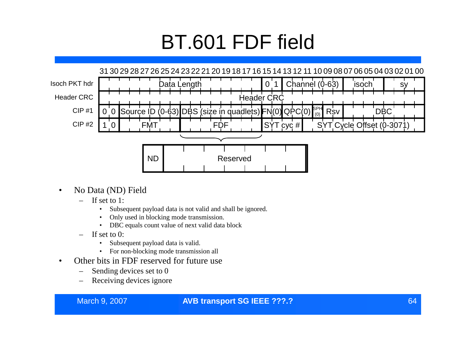#### BT.601 FDF field



- No Data (ND) Field
	- If set to 1:
		- Subsequent payload data is not valid and shall be ignored.
		- Only used in blocking mode transmission.
		- DBC equals count value of next valid data block
	- If set to 0:
		- Subsequent payload data is valid.
		- For non-blocking mode transmission all
- Other bits in FDF reserved for future use
	- Sending devices set to 0
	- Receiving devices ignore

#### March 9, 2007 **AVB transport SG IEEE ???.?** 64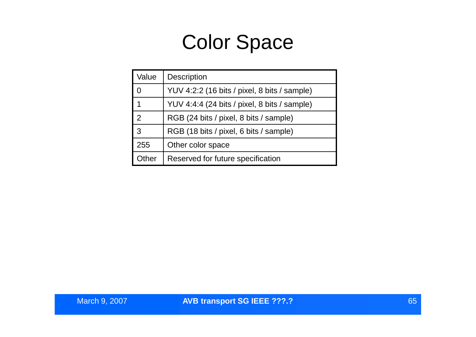#### Color Space

| Value          | Description                                  |  |
|----------------|----------------------------------------------|--|
| $\Omega$       | YUV 4:2:2 (16 bits / pixel, 8 bits / sample) |  |
| 1              | YUV 4:4:4 (24 bits / pixel, 8 bits / sample) |  |
| $\overline{2}$ | RGB (24 bits / pixel, 8 bits / sample)       |  |
| 3              | RGB (18 bits / pixel, 6 bits / sample)       |  |
| 255            | Other color space                            |  |
| <b>Other</b>   | Reserved for future specification            |  |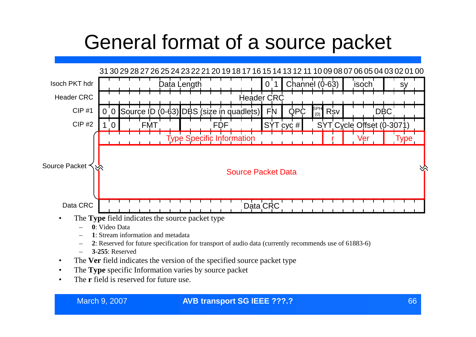#### General format of a source packet



- **0**: Video Data
- **1**: Stream information and metadata
- **2**: Reserved for future specification for transport of audio data (currently recommends use of 61883-6)
- **3-255**: Reserved
- The **Ver** field indicates the version of the specified source packet type
- The **Type** specific Information varies by source packet
- The **r** field is reserved for future use.

#### March 9, 2007 66 **AVB transport SG IEEE ???.?**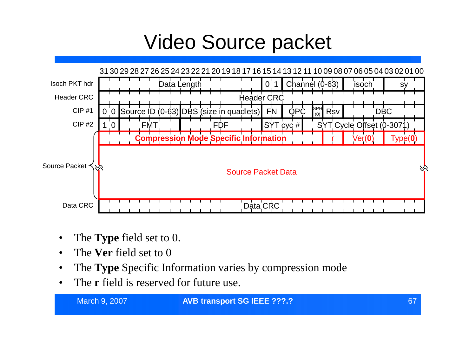#### Video Source packet



- The **Type** field set to 0.
- The **Ver** field set to 0
- The **Type** Specific Information varies by compression mode
- The **r** field is reserved for future use.

#### **March 9, 2007 67 68 AVB transport SG IEEE ???.? 67**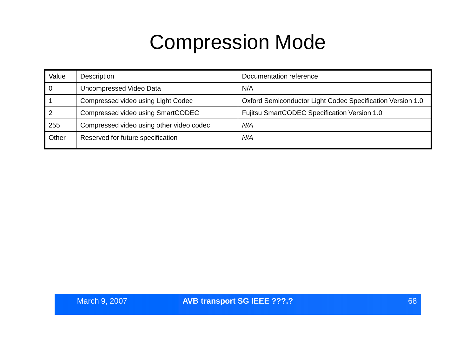#### Compression Mode

| Value | Description                              | Documentation reference                                    |
|-------|------------------------------------------|------------------------------------------------------------|
| 0     | Uncompressed Video Data                  | N/A                                                        |
|       | Compressed video using Light Codec       | Oxford Semiconductor Light Codec Specification Version 1.0 |
|       | Compressed video using SmartCODEC        | Fujitsu SmartCODEC Specification Version 1.0               |
| 255   | Compressed video using other video codec | N/A                                                        |
| Other | Reserved for future specification        | N/A                                                        |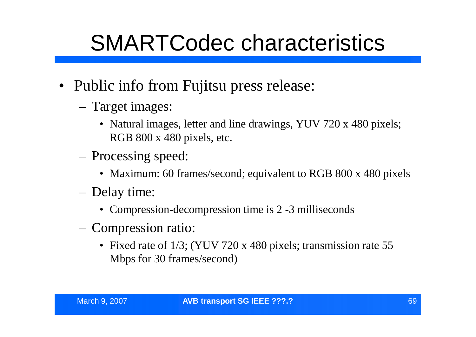### SMARTCodec characteristics

- Public info from Fujitsu press release:
	- Target images:
		- Natural images, letter and line drawings, YUV 720 x 480 pixels; RGB 800 x 480 pixels, etc.
	- Processing speed:
		- Maximum: 60 frames/second; equivalent to RGB 800 x 480 pixels
	- Delay time:
		- Compression-decompression time is 2 -3 milliseconds
	- Compression ratio:
		- Fixed rate of 1/3; (YUV 720 x 480 pixels; transmission rate 55 Mbps for 30 frames/second)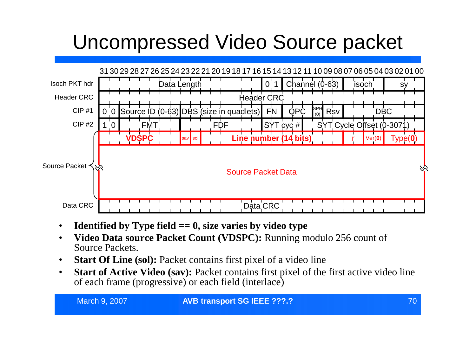#### Uncompressed Video Source packet



- **Identified by Type field == 0, size varies by video type**
- **Video Data source Packet Count (VDSPC):** Running modulo 256 count of Source Packets.
- **Start Of Line (sol):** Packet contains first pixel of a video line
- **Start of Active Video (sav):** Packet contains first pixel of the first active video line of each frame (progressive) or each field (interlace)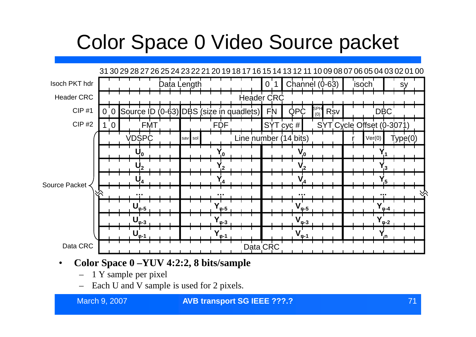#### Color Space 0 Video Source packet



#### • **Color Space 0 –YUV 4:2:2, 8 bits/sample**

- 1 Y sample per pixel
- Each U and V sample is used for 2 pixels.

#### **March 9, 2007 <b>AVB transport SG IEEE ???.? AND 10** 21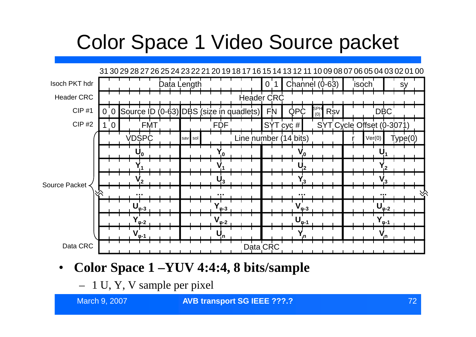#### Color Space 1 Video Source packet



#### • **Color Space 1 –YUV 4:4:4, 8 bits/sample**

– 1 U, Y, V sample per pixel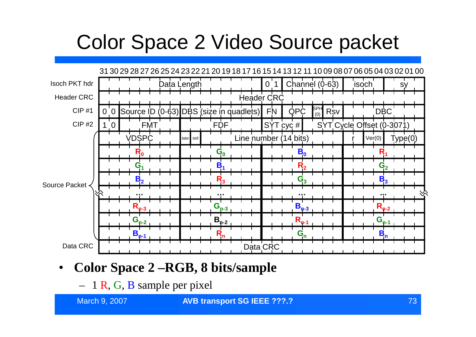### Color Space 2 Video Source packet



#### • **Color Space 2 –RGB, 8 bits/sample**

– 1 R, G, B sample per pixel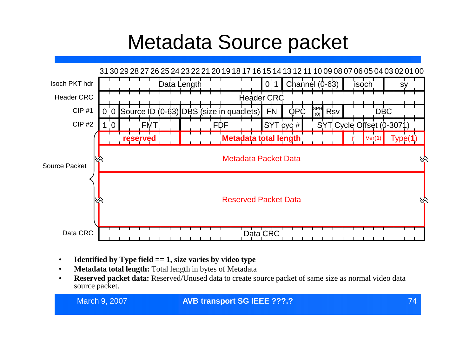#### Metadata Source packet



- **Identified by Type field == 1, size varies by video type**
- **Metadata total length:** Total length in bytes of Metadata
- **Reserved packet data:** Reserved/Unused data to create source packet of same size as normal video data source packet.

| March 9, 2007 |  |  |
|---------------|--|--|
|               |  |  |

#### March 9, 2007 74 **AVB transport SG IEEE ???.?**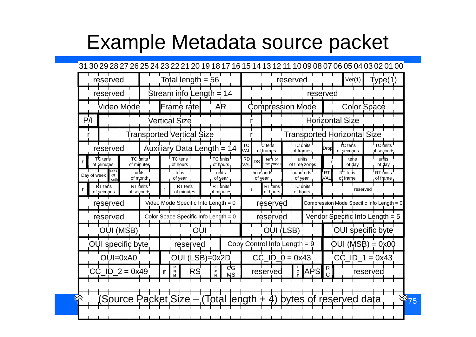#### Example Metadata source packet

#### 31 30 29 28 27 26 25 24 23 22 21 20 19 18 17 16 15 14 13 12 11 10 09 08 07 06 05 04 03 02 01 00

| reserved                           | Total length = $56$                             |                           | reserved                                                                  | Ver(1)<br>Type(1                                                |
|------------------------------------|-------------------------------------------------|---------------------------|---------------------------------------------------------------------------|-----------------------------------------------------------------|
| reserved                           | Stream info Length $= 14$                       |                           |                                                                           | reserved                                                        |
| Video Mode                         | Frame rate                                      | <b>AR</b>                 | <b>Compression Mode</b>                                                   | <b>Color Space</b>                                              |
| P/                                 | Vertical Size                                   |                           |                                                                           | <b>Horizontal Size</b>                                          |
|                                    | <b>Transported Vertical Size</b>                |                           |                                                                           | <b>Transported Horizontal Size</b>                              |
| reserved                           | Auxiliary Data Length = 14                      |                           | TC units<br>TC tens<br><b>TC</b><br>VAL<br>of frames<br>of frames         | TC tens<br>TC units<br>Drop<br>of seconds<br>of seconds         |
| TC tens<br>of minutes              | TC units<br>TC tens<br>of minutes<br>of hours   | TC units<br>of hours      | units<br><b>RD</b><br>tens of<br>DS<br>VAL<br>time zones<br>of time zones | units<br>tens<br>of day<br>of day                               |
| Tens<br>Of<br>Day of week<br>nonth | units<br>tens<br>of month<br>of year            | units<br>of year          | hundreds<br>thousands<br>of year<br>of year                               | RT tens<br>RT units<br><b>RT</b><br>VAL<br>of frame<br>of frame |
| RT tens<br>of seconds              | RT units<br>RT tens<br>of seconds<br>of minutes | RT units<br>of minutes    | TC units<br>RT tens<br>of hours<br>of hours                               | reserved                                                        |
| reserved                           | Video Mode Specific Info Length $= 0$           |                           | reserved                                                                  | Compression Mode Specific Info Length = 0                       |
| reserved                           | Color Space Specific Info Length = $0$          |                           | reserved                                                                  | Vendor Specific Info Length = 5                                 |
| OUI (MSB)                          |                                                 | OUI                       | OUI (LSB)                                                                 | <b>OUI</b> specific byte                                        |
| OUI specific byte                  | reserved                                        |                           | Copy Control Info Length = $9$                                            | $OUI(MSB) = 0x00$                                               |
| OUI=0xA0                           |                                                 | OUI (LSB)=0x2D            | $CC$ ID $0 = 0 \times 43$                                                 | CC  <br>$= 0x43$<br>ID                                          |
| $2 = 0x49$<br>$\blacksquare$       | R<br>RS<br>N<br>r                               | ਟਫ<br>Е<br>P<br><b>MS</b> | APS<br>$\mathbf c$<br>reserved                                            | $\mathsf{R}$<br>reserved                                        |
|                                    |                                                 |                           |                                                                           |                                                                 |
| Source                             | 'acket Size – (Total length                     |                           | bytes of                                                                  | $\frac{1}{\sqrt{5}}$<br>reserved<br>data                        |
|                                    |                                                 |                           |                                                                           |                                                                 |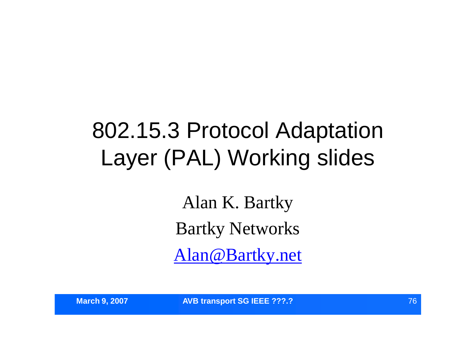## 802.15.3 Protocol Adaptation Layer (PAL) Working slides

Alan K. Bartky Bartky Networks Alan@Bartky.net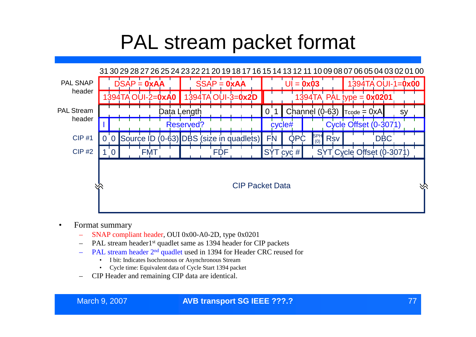#### PAL stream packet format



- Format summary
	- SNAP compliant header, OUI 0x00-A0-2D, type 0x0201
	- PAL stream header1<sup>st</sup> quadlet same as 1394 header for CIP packets
	- PAL stream header 2nd quadlet used in 1394 for Header CRC reused for
		- I bit: Indicates Isochronous or Asynchronous Stream
		- Cycle time: Equivalent data of Cycle Start 1394 packet
	- CIP Header and remaining CIP data are identical.

#### March 9, 2007 77 **AVB transport SG IEEE ???.?**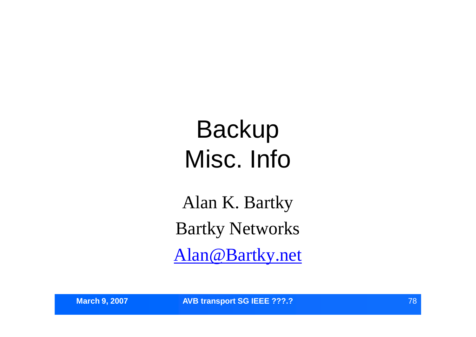# Backup Misc. Info

Alan K. Bartky Bartky Networks Alan@Bartky.net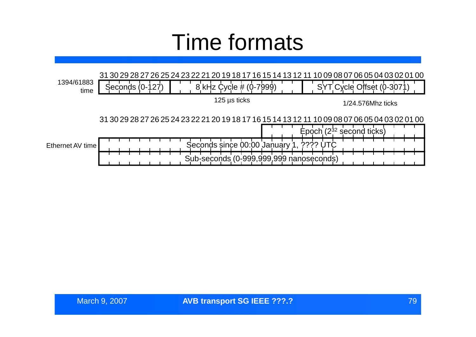### Time formats

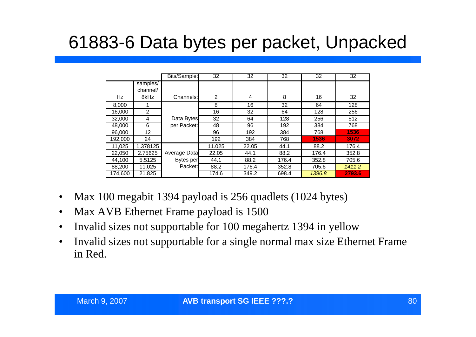#### 61883-6 Data bytes per packet, Unpacked

|         |                      | Bits/Sample: | 32             | 32    | 32    | 32     | 32     |
|---------|----------------------|--------------|----------------|-------|-------|--------|--------|
|         | samples/<br>channel/ |              |                |       |       |        |        |
| Hz      | 8kHz                 | Channels:    | $\overline{2}$ | 4     | 8     | 16     | 32     |
| 8,000   |                      |              | 8              | 16    | 32    | 64     | 128    |
| 16,000  | 2                    |              | 16             | 32    | 64    | 128    | 256    |
| 32,000  | 4                    | Data Bytes   | 32             | 64    | 128   | 256    | 512    |
| 48,000  | 6                    | per Packet:  | 48             | 96    | 192   | 384    | 768    |
| 96,000  | 12                   |              | 96             | 192   | 384   | 768    | 1536   |
| 192,000 | 24                   |              | 192            | 384   | 768   | 1536   | 3072   |
| 11,025  | 1.378125             |              | 11.025         | 22.05 | 44.1  | 88.2   | 176.4  |
| 22,050  | 2.75625              | Average Data | 22.05          | 44.1  | 88.2  | 176.4  | 352.8  |
| 44,100  | 5.5125               | Bytes per    | 44.1           | 88.2  | 176.4 | 352.8  | 705.6  |
| 88,200  | 11.025               | Packet:      | 88.2           | 176.4 | 352.8 | 705.6  | 1411.2 |
| 174,600 | 21.825               |              | 174.6          | 349.2 | 698.4 | 1396.8 | 2793.6 |

- Max 100 megabit 1394 payload is 256 quadlets (1024 bytes)
- Max AVB Ethernet Frame payload is 1500
- Invalid sizes not supportable for 100 megahertz 1394 in yellow
- Invalid sizes not supportable for a single normal max size Ethernet Frame in Red.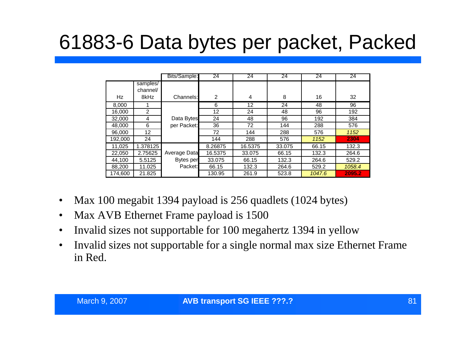### 61883-6 Data bytes per packet, Packed

|         |                      | Bits/Sample: | 24             | 24      | 24     | 24     | 24     |
|---------|----------------------|--------------|----------------|---------|--------|--------|--------|
|         | samples/<br>channel/ |              |                |         |        |        |        |
| Hz      | 8kHz                 | Channels:    | $\overline{2}$ | 4       | 8      | 16     | 32     |
| 8,000   |                      |              | 6              | 12      | 24     | 48     | 96     |
| 16,000  | 2                    |              | 12             | 24      | 48     | 96     | 192    |
| 32,000  | 4                    | Data Bytes   | 24             | 48      | 96     | 192    | 384    |
| 48,000  | 6                    | per Packet:  | 36             | 72      | 144    | 288    | 576    |
| 96,000  | 12                   |              | 72             | 144     | 288    | 576    | 1152   |
| 192,000 | 24                   |              | 144            | 288     | 576    | 1152   | 2304   |
| 11,025  | 1.378125             |              | 8.26875        | 16.5375 | 33.075 | 66.15  | 132.3  |
| 22,050  | 2.75625              | Average Data | 16.5375        | 33.075  | 66.15  | 132.3  | 264.6  |
| 44.100  | 5.5125               | Bytes per    | 33.075         | 66.15   | 132.3  | 264.6  | 529.2  |
| 88,200  | 11.025               | Packet:      | 66.15          | 132.3   | 264.6  | 529.2  | 1058.4 |
| 174,600 | 21.825               |              | 130.95         | 261.9   | 523.8  | 1047.6 | 2095.2 |

- Max 100 megabit 1394 payload is 256 quadlets (1024 bytes)
- Max AVB Ethernet Frame payload is 1500
- Invalid sizes not supportable for 100 megahertz 1394 in yellow
- Invalid sizes not supportable for a single normal max size Ethernet Frame in Red.